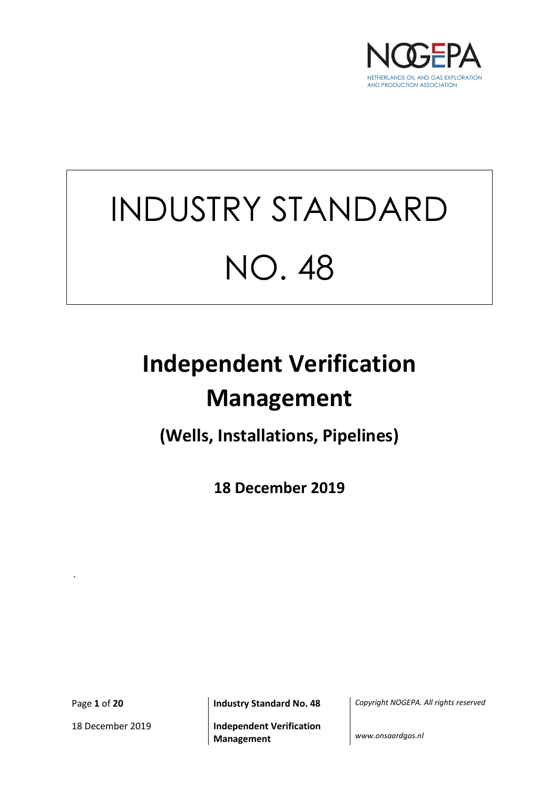

# INDUSTRY STANDARD NO. 48

## **Independent Verification Management**

**(Wells, Installations, Pipelines)**

**18 December 2019**

.

18 December 2019 **Independent Verification** 

Page **1** of **20 Industry Standard No. 48** *Copyright NOGEPA. All rights reserved*

**Management** *www.onsaardgas.nl*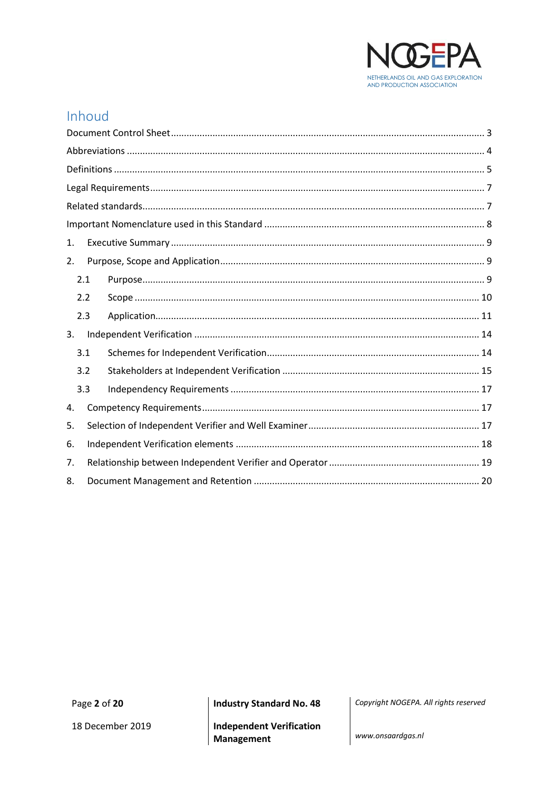

## Inhoud

| 1.  |  |  |  |
|-----|--|--|--|
| 2.  |  |  |  |
| 2.1 |  |  |  |
| 2.2 |  |  |  |
| 2.3 |  |  |  |
| 3.  |  |  |  |
| 3.1 |  |  |  |
| 3.2 |  |  |  |
| 3.3 |  |  |  |
| 4.  |  |  |  |
| 5.  |  |  |  |
| 6.  |  |  |  |
| 7.  |  |  |  |
| 8.  |  |  |  |

**Industry Standard No. 48** 

Copyright NOGEPA. All rights reserved

**Independent Verification** Management

www.onsaardgas.nl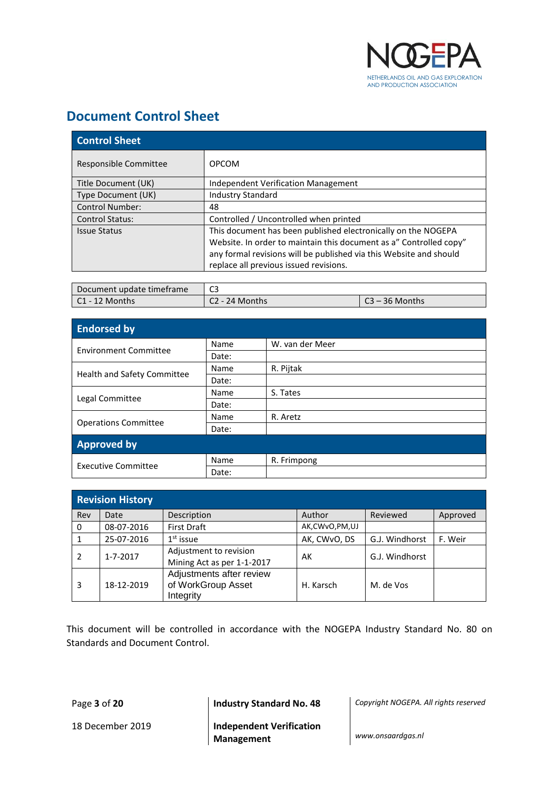

## <span id="page-2-0"></span>**Document Control Sheet**

| <b>Control Sheet</b>   |                                                                    |
|------------------------|--------------------------------------------------------------------|
| Responsible Committee  | <b>OPCOM</b>                                                       |
| Title Document (UK)    | <b>Independent Verification Management</b>                         |
| Type Document (UK)     | <b>Industry Standard</b>                                           |
| <b>Control Number:</b> | 48                                                                 |
| <b>Control Status:</b> | Controlled / Uncontrolled when printed                             |
| <b>Issue Status</b>    | This document has been published electronically on the NOGEPA      |
|                        | Website. In order to maintain this document as a" Controlled copy" |
|                        | any formal revisions will be published via this Website and should |
|                        | replace all previous issued revisions.                             |

| Document update timeframe |                  |               |
|---------------------------|------------------|---------------|
| l C1 - 12 Months          | l C2 - 24 Months | ิ - 36 Months |

| <b>Endorsed by</b>           |       |                 |
|------------------------------|-------|-----------------|
| <b>Environment Committee</b> | Name  | W. van der Meer |
|                              | Date: |                 |
|                              | Name  | R. Pijtak       |
| Health and Safety Committee  | Date: |                 |
|                              | Name  | S. Tates        |
| Legal Committee              | Date: |                 |
|                              | Name  | R. Aretz        |
| <b>Operations Committee</b>  | Date: |                 |
| <b>Approved by</b>           |       |                 |
| <b>Executive Committee</b>   | Name  | R. Frimpong     |
|                              | Date: |                 |

|     | <b>Revision History</b> |                                                             |                   |                |          |
|-----|-------------------------|-------------------------------------------------------------|-------------------|----------------|----------|
| Rev | Date                    | Description                                                 | Author            | Reviewed       | Approved |
| 0   | 08-07-2016              | <b>First Draft</b>                                          | AK, CW vO, PM, UJ |                |          |
|     | 25-07-2016              | $1st$ issue                                                 | AK, CWvO, DS      | G.J. Windhorst | F. Weir  |
| 2   | 1-7-2017                | Adjustment to revision<br>Mining Act as per 1-1-2017        | AK                | G.J. Windhorst |          |
| 3   | 18-12-2019              | Adjustments after review<br>of WorkGroup Asset<br>Integrity | H. Karsch         | M. de Vos      |          |

This document will be controlled in accordance with the NOGEPA Industry Standard No. 80 on Standards and Document Control.

18 December 2019 **Independent Verification Management** *www.onsaardgas.nl*

Page **3** of **20 Industry Standard No. 48** *Copyright NOGEPA. All rights reserved*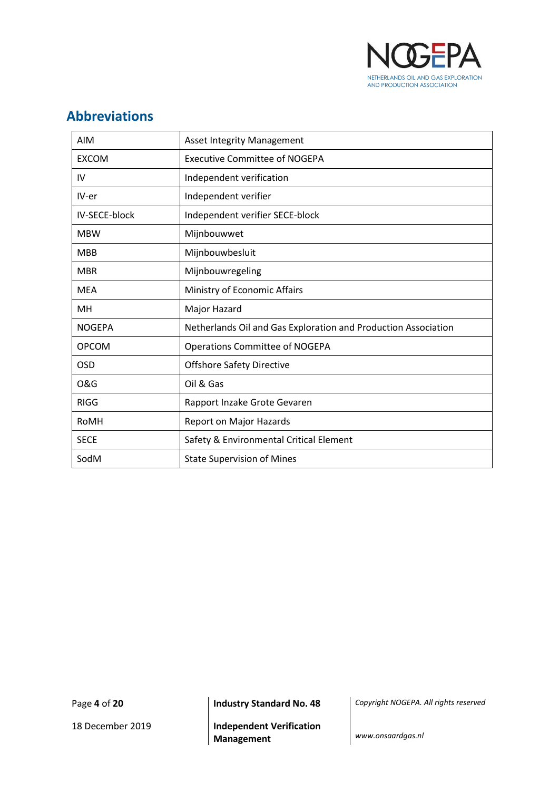

## <span id="page-3-0"></span>**Abbreviations**

| <b>AIM</b>     | <b>Asset Integrity Management</b>                              |
|----------------|----------------------------------------------------------------|
| <b>EXCOM</b>   | <b>Executive Committee of NOGEPA</b>                           |
| IV             | Independent verification                                       |
| IV-er          | Independent verifier                                           |
| IV-SECE-block  | Independent verifier SECE-block                                |
| <b>MBW</b>     | Mijnbouwwet                                                    |
| <b>MBB</b>     | Mijnbouwbesluit                                                |
| <b>MBR</b>     | Mijnbouwregeling                                               |
| <b>MEA</b>     | Ministry of Economic Affairs                                   |
| MН             | Major Hazard                                                   |
| <b>NOGEPA</b>  | Netherlands Oil and Gas Exploration and Production Association |
| <b>OPCOM</b>   | <b>Operations Committee of NOGEPA</b>                          |
| <b>OSD</b>     | <b>Offshore Safety Directive</b>                               |
| <b>O&amp;G</b> | Oil & Gas                                                      |
| <b>RIGG</b>    | Rapport Inzake Grote Gevaren                                   |
| RoMH           | Report on Major Hazards                                        |
| <b>SECE</b>    | Safety & Environmental Critical Element                        |
| SodM           | <b>State Supervision of Mines</b>                              |

Page **4** of **20 Industry Standard No. 48** *Copyright NOGEPA. All rights reserved*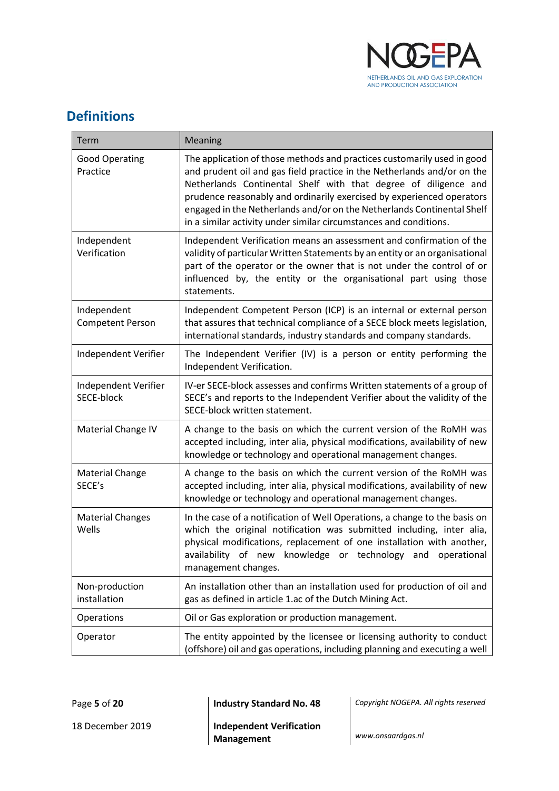

## <span id="page-4-0"></span>**Definitions**

| Term                                   | Meaning                                                                                                                                                                                                                                                                                                                                                                                                                                       |
|----------------------------------------|-----------------------------------------------------------------------------------------------------------------------------------------------------------------------------------------------------------------------------------------------------------------------------------------------------------------------------------------------------------------------------------------------------------------------------------------------|
| <b>Good Operating</b><br>Practice      | The application of those methods and practices customarily used in good<br>and prudent oil and gas field practice in the Netherlands and/or on the<br>Netherlands Continental Shelf with that degree of diligence and<br>prudence reasonably and ordinarily exercised by experienced operators<br>engaged in the Netherlands and/or on the Netherlands Continental Shelf<br>in a similar activity under similar circumstances and conditions. |
| Independent<br>Verification            | Independent Verification means an assessment and confirmation of the<br>validity of particular Written Statements by an entity or an organisational<br>part of the operator or the owner that is not under the control of or<br>influenced by, the entity or the organisational part using those<br>statements.                                                                                                                               |
| Independent<br><b>Competent Person</b> | Independent Competent Person (ICP) is an internal or external person<br>that assures that technical compliance of a SECE block meets legislation,<br>international standards, industry standards and company standards.                                                                                                                                                                                                                       |
| Independent Verifier                   | The Independent Verifier (IV) is a person or entity performing the<br>Independent Verification.                                                                                                                                                                                                                                                                                                                                               |
| Independent Verifier<br>SECE-block     | IV-er SECE-block assesses and confirms Written statements of a group of<br>SECE's and reports to the Independent Verifier about the validity of the<br>SECE-block written statement.                                                                                                                                                                                                                                                          |
| Material Change IV                     | A change to the basis on which the current version of the RoMH was<br>accepted including, inter alia, physical modifications, availability of new<br>knowledge or technology and operational management changes.                                                                                                                                                                                                                              |
| <b>Material Change</b><br>SECE's       | A change to the basis on which the current version of the RoMH was<br>accepted including, inter alia, physical modifications, availability of new<br>knowledge or technology and operational management changes.                                                                                                                                                                                                                              |
| <b>Material Changes</b><br>Wells       | In the case of a notification of Well Operations, a change to the basis on<br>which the original notification was submitted including, inter alia,<br>physical modifications, replacement of one installation with another,<br>availability of new knowledge or technology and operational<br>management changes.                                                                                                                             |
| Non-production<br>installation         | An installation other than an installation used for production of oil and<br>gas as defined in article 1.ac of the Dutch Mining Act.                                                                                                                                                                                                                                                                                                          |
| Operations                             | Oil or Gas exploration or production management.                                                                                                                                                                                                                                                                                                                                                                                              |
| Operator                               | The entity appointed by the licensee or licensing authority to conduct<br>(offshore) oil and gas operations, including planning and executing a well                                                                                                                                                                                                                                                                                          |

Page **5** of **20 Industry Standard No. 48** *Copyright NOGEPA. All rights reserved*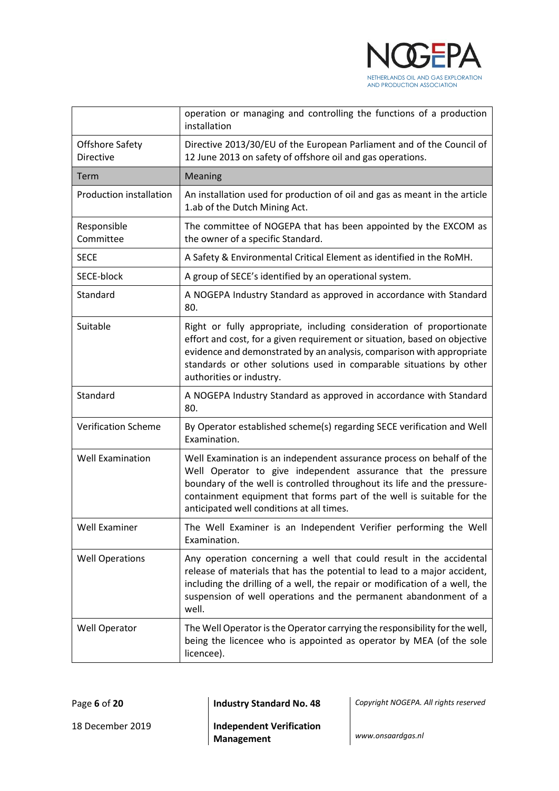

|                                            | operation or managing and controlling the functions of a production<br>installation                                                                                                                                                                                                                                                      |  |
|--------------------------------------------|------------------------------------------------------------------------------------------------------------------------------------------------------------------------------------------------------------------------------------------------------------------------------------------------------------------------------------------|--|
| <b>Offshore Safety</b><br><b>Directive</b> | Directive 2013/30/EU of the European Parliament and of the Council of<br>12 June 2013 on safety of offshore oil and gas operations.                                                                                                                                                                                                      |  |
| Term                                       | Meaning                                                                                                                                                                                                                                                                                                                                  |  |
| Production installation                    | An installation used for production of oil and gas as meant in the article<br>1.ab of the Dutch Mining Act.                                                                                                                                                                                                                              |  |
| Responsible<br>Committee                   | The committee of NOGEPA that has been appointed by the EXCOM as<br>the owner of a specific Standard.                                                                                                                                                                                                                                     |  |
| <b>SECE</b>                                | A Safety & Environmental Critical Element as identified in the RoMH.                                                                                                                                                                                                                                                                     |  |
| SECE-block                                 | A group of SECE's identified by an operational system.                                                                                                                                                                                                                                                                                   |  |
| Standard                                   | A NOGEPA Industry Standard as approved in accordance with Standard<br>80.                                                                                                                                                                                                                                                                |  |
| Suitable                                   | Right or fully appropriate, including consideration of proportionate<br>effort and cost, for a given requirement or situation, based on objective<br>evidence and demonstrated by an analysis, comparison with appropriate<br>standards or other solutions used in comparable situations by other<br>authorities or industry.            |  |
| Standard                                   | A NOGEPA Industry Standard as approved in accordance with Standard<br>80.                                                                                                                                                                                                                                                                |  |
| <b>Verification Scheme</b>                 | By Operator established scheme(s) regarding SECE verification and Well<br>Examination.                                                                                                                                                                                                                                                   |  |
| <b>Well Examination</b>                    | Well Examination is an independent assurance process on behalf of the<br>Well Operator to give independent assurance that the pressure<br>boundary of the well is controlled throughout its life and the pressure-<br>containment equipment that forms part of the well is suitable for the<br>anticipated well conditions at all times. |  |
| <b>Well Examiner</b>                       | The Well Examiner is an Independent Verifier performing the Well<br>Examination.                                                                                                                                                                                                                                                         |  |
| <b>Well Operations</b>                     | Any operation concerning a well that could result in the accidental<br>release of materials that has the potential to lead to a major accident,<br>including the drilling of a well, the repair or modification of a well, the<br>suspension of well operations and the permanent abandonment of a<br>well.                              |  |
| Well Operator                              | The Well Operator is the Operator carrying the responsibility for the well,<br>being the licencee who is appointed as operator by MEA (of the sole<br>licencee).                                                                                                                                                                         |  |

Page **6** of **20 Industry Standard No. 48** *Copyright NOGEPA. All rights reserved*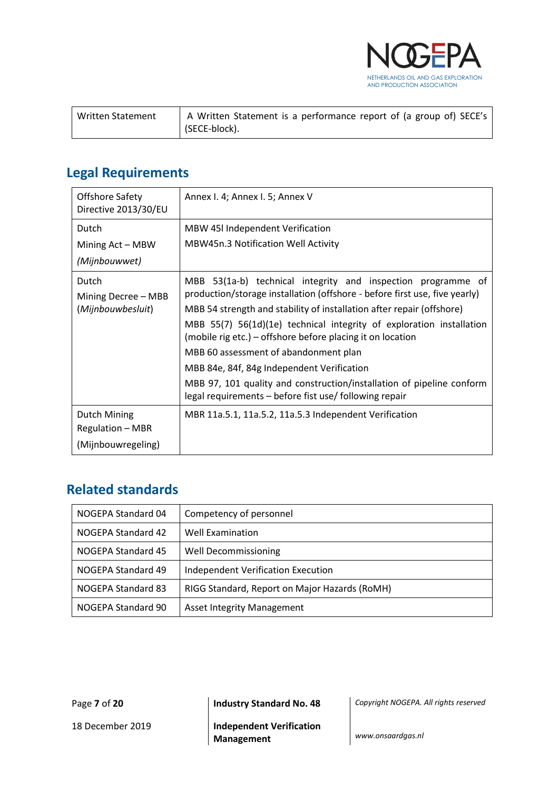

| Written Statement | A Written Statement is a performance report of (a group of) SECE's |
|-------------------|--------------------------------------------------------------------|
|                   | I (SECE-block).                                                    |

## <span id="page-6-0"></span>**Legal Requirements**

| <b>Offshore Safety</b><br>Directive 2013/30/EU | Annex I. 4; Annex I. 5; Annex V                                                                                                    |
|------------------------------------------------|------------------------------------------------------------------------------------------------------------------------------------|
| Dutch                                          | <b>MBW 45I Independent Verification</b>                                                                                            |
| Mining Act – MBW                               | MBW45n.3 Notification Well Activity                                                                                                |
| (Mijnbouwwet)                                  |                                                                                                                                    |
| Dutch                                          | MBB<br>53(1a-b) technical integrity and inspection programme of                                                                    |
| Mining Decree - MBB                            | production/storage installation (offshore - before first use, five yearly)                                                         |
| (Mijnbouwbesluit)                              | MBB 54 strength and stability of installation after repair (offshore)                                                              |
|                                                | MBB 55(7) 56(1d)(1e) technical integrity of exploration installation<br>(mobile rig etc.) – offshore before placing it on location |
|                                                | MBB 60 assessment of abandonment plan                                                                                              |
|                                                | MBB 84e, 84f, 84g Independent Verification                                                                                         |
|                                                | MBB 97, 101 quality and construction/installation of pipeline conform<br>legal requirements - before fist use/ following repair    |
| Dutch Mining                                   | MBR 11a.5.1, 11a.5.2, 11a.5.3 Independent Verification                                                                             |
| <b>Regulation - MBR</b>                        |                                                                                                                                    |
| (Mijnbouwregeling)                             |                                                                                                                                    |

## <span id="page-6-1"></span>**Related standards**

| NOGEPA Standard 04 | Competency of personnel                       |
|--------------------|-----------------------------------------------|
| NOGEPA Standard 42 | <b>Well Examination</b>                       |
| NOGEPA Standard 45 | <b>Well Decommissioning</b>                   |
| NOGEPA Standard 49 | <b>Independent Verification Execution</b>     |
| NOGEPA Standard 83 | RIGG Standard, Report on Major Hazards (RoMH) |
| NOGEPA Standard 90 | <b>Asset Integrity Management</b>             |

Page **7** of **20 Industry Standard No. 48** *Copyright NOGEPA. All rights reserved*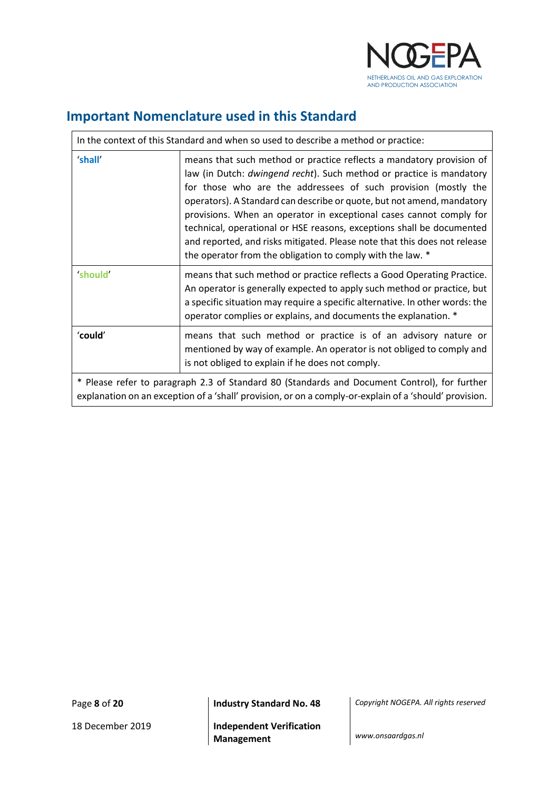

## <span id="page-7-0"></span>**Important Nomenclature used in this Standard**

| In the context of this Standard and when so used to describe a method or practice:                                                                                                                     |                                                                                                                                                                                                                                                                                                                                                                                                                                                                                                                                                                                     |  |
|--------------------------------------------------------------------------------------------------------------------------------------------------------------------------------------------------------|-------------------------------------------------------------------------------------------------------------------------------------------------------------------------------------------------------------------------------------------------------------------------------------------------------------------------------------------------------------------------------------------------------------------------------------------------------------------------------------------------------------------------------------------------------------------------------------|--|
| 'shall'                                                                                                                                                                                                | means that such method or practice reflects a mandatory provision of<br>law (in Dutch: dwingend recht). Such method or practice is mandatory<br>for those who are the addressees of such provision (mostly the<br>operators). A Standard can describe or quote, but not amend, mandatory<br>provisions. When an operator in exceptional cases cannot comply for<br>technical, operational or HSE reasons, exceptions shall be documented<br>and reported, and risks mitigated. Please note that this does not release<br>the operator from the obligation to comply with the law. * |  |
| <b>should</b>                                                                                                                                                                                          | means that such method or practice reflects a Good Operating Practice.<br>An operator is generally expected to apply such method or practice, but<br>a specific situation may require a specific alternative. In other words: the<br>operator complies or explains, and documents the explanation. *                                                                                                                                                                                                                                                                                |  |
| 'could'                                                                                                                                                                                                | means that such method or practice is of an advisory nature or<br>mentioned by way of example. An operator is not obliged to comply and<br>is not obliged to explain if he does not comply.                                                                                                                                                                                                                                                                                                                                                                                         |  |
| * Please refer to paragraph 2.3 of Standard 80 (Standards and Document Control), for further<br>explanation on an exception of a 'shall' provision, or on a comply-or-explain of a 'should' provision. |                                                                                                                                                                                                                                                                                                                                                                                                                                                                                                                                                                                     |  |

Page **8** of **20 Industry Standard No. 48** *Copyright NOGEPA. All rights reserved*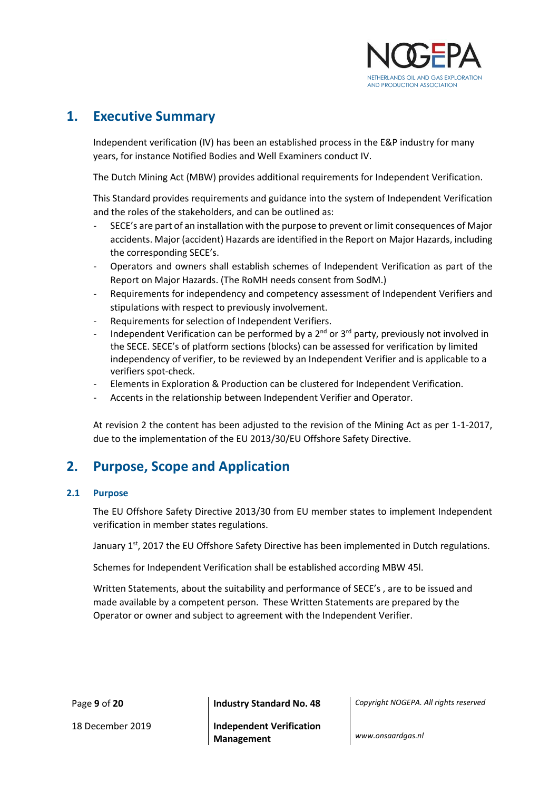

## <span id="page-8-0"></span>**1. Executive Summary**

Independent verification (IV) has been an established process in the E&P industry for many years, for instance Notified Bodies and Well Examiners conduct IV.

The Dutch Mining Act (MBW) provides additional requirements for Independent Verification.

This Standard provides requirements and guidance into the system of Independent Verification and the roles of the stakeholders, and can be outlined as:

- SECE's are part of an installation with the purpose to prevent or limit consequences of Major accidents. Major (accident) Hazards are identified in the Report on Major Hazards, including the corresponding SECE's.
- Operators and owners shall establish schemes of Independent Verification as part of the Report on Major Hazards. (The RoMH needs consent from SodM.)
- Requirements for independency and competency assessment of Independent Verifiers and stipulations with respect to previously involvement.
- Requirements for selection of Independent Verifiers.
- Independent Verification can be performed by a  $2^{nd}$  or  $3^{rd}$  party, previously not involved in the SECE. SECE's of platform sections (blocks) can be assessed for verification by limited independency of verifier, to be reviewed by an Independent Verifier and is applicable to a verifiers spot-check.
- Elements in Exploration & Production can be clustered for Independent Verification.
- Accents in the relationship between Independent Verifier and Operator.

At revision 2 the content has been adjusted to the revision of the Mining Act as per 1-1-2017, due to the implementation of the EU 2013/30/EU Offshore Safety Directive.

### <span id="page-8-1"></span>**2. Purpose, Scope and Application**

#### <span id="page-8-2"></span>**2.1 Purpose**

The EU Offshore Safety Directive 2013/30 from EU member states to implement Independent verification in member states regulations.

January  $1<sup>st</sup>$ , 2017 the EU Offshore Safety Directive has been implemented in Dutch regulations.

Schemes for Independent Verification shall be established according MBW 45l.

Written Statements, about the suitability and performance of SECE's , are to be issued and made available by a competent person. These Written Statements are prepared by the Operator or owner and subject to agreement with the Independent Verifier.

Page **9** of **20 Industry Standard No. 48** *Copyright NOGEPA. All rights reserved*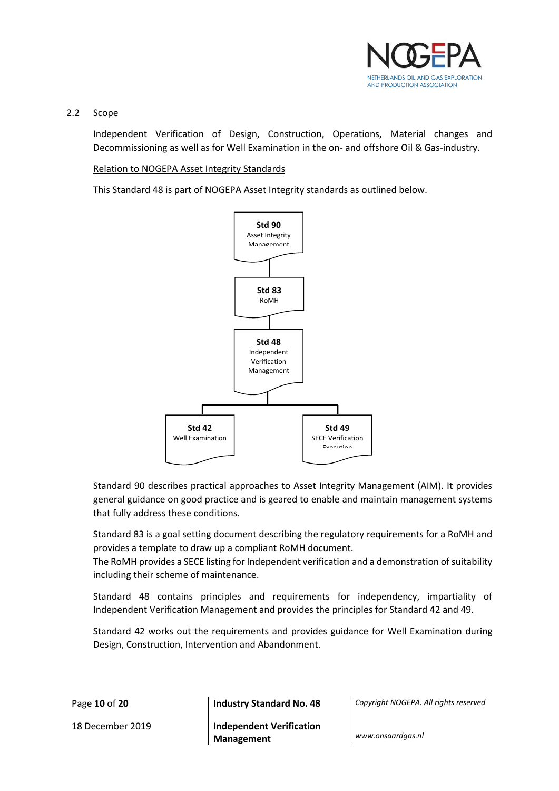

#### <span id="page-9-0"></span>2.2 Scope

Independent Verification of Design, Construction, Operations, Material changes and Decommissioning as well as for Well Examination in the on- and offshore Oil & Gas-industry.

#### Relation to NOGEPA Asset Integrity Standards

This Standard 48 is part of NOGEPA Asset Integrity standards as outlined below.



Standard 90 describes practical approaches to Asset Integrity Management (AIM). It provides general guidance on good practice and is geared to enable and maintain management systems that fully address these conditions.

Standard 83 is a goal setting document describing the regulatory requirements for a RoMH and provides a template to draw up a compliant RoMH document.

The RoMH provides a SECE listing for Independent verification and a demonstration of suitability including their scheme of maintenance.

Standard 48 contains principles and requirements for independency, impartiality of Independent Verification Management and provides the principles for Standard 42 and 49.

Standard 42 works out the requirements and provides guidance for Well Examination during Design, Construction, Intervention and Abandonment.

Page **10** of **20 Industry Standard No. 48** *Copyright NOGEPA. All rights reserved*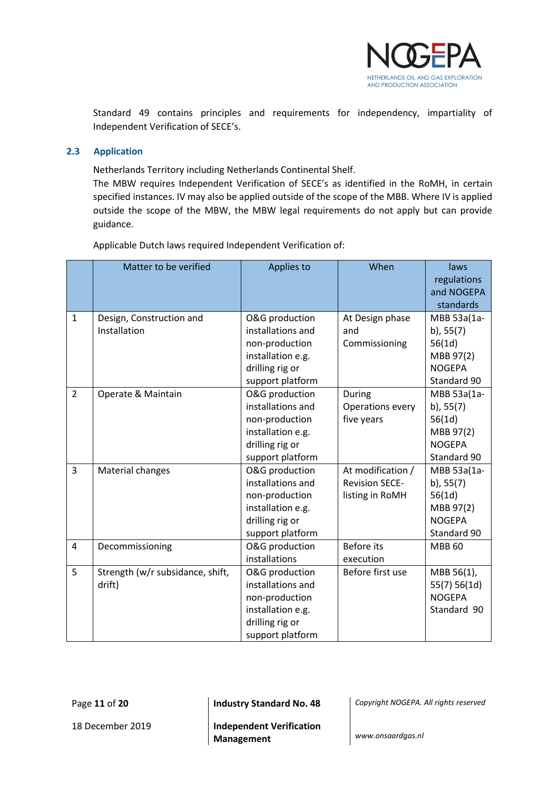

Standard 49 contains principles and requirements for independency, impartiality of Independent Verification of SECE's.

#### <span id="page-10-0"></span>**2.3 Application**

Netherlands Territory including Netherlands Continental Shelf.

The MBW requires Independent Verification of SECE's as identified in the RoMH, in certain specified instances. IV may also be applied outside of the scope of the MBB. Where IV is applied outside the scope of the MBW, the MBW legal requirements do not apply but can provide guidance.

|                | Matter to be verified            | Applies to        | When                  | laws            |
|----------------|----------------------------------|-------------------|-----------------------|-----------------|
|                |                                  |                   |                       | regulations     |
|                |                                  |                   |                       | and NOGEPA      |
|                |                                  |                   |                       | standards       |
| $\mathbf{1}$   | Design, Construction and         | O&G production    | At Design phase       | MBB 53a(1a-     |
|                | Installation                     | installations and | and                   | b), $55(7)$     |
|                |                                  | non-production    | Commissioning         | 56(1d)          |
|                |                                  | installation e.g. |                       | MBB 97(2)       |
|                |                                  | drilling rig or   |                       | <b>NOGEPA</b>   |
|                |                                  | support platform  |                       | Standard 90     |
| $\overline{2}$ | Operate & Maintain               | O&G production    | During                | MBB 53a(1a-     |
|                |                                  | installations and | Operations every      | $b)$ , 55 $(7)$ |
|                |                                  | non-production    | five years            | 56(1d)          |
|                |                                  | installation e.g. |                       | MBB 97(2)       |
|                |                                  | drilling rig or   |                       | <b>NOGEPA</b>   |
|                |                                  | support platform  |                       | Standard 90     |
| 3              | Material changes                 | O&G production    | At modification /     | MBB 53a(1a-     |
|                |                                  | installations and | <b>Revision SECE-</b> | $b)$ , 55 $(7)$ |
|                |                                  | non-production    | listing in RoMH       | 56(1d)          |
|                |                                  | installation e.g. |                       | MBB 97(2)       |
|                |                                  | drilling rig or   |                       | <b>NOGEPA</b>   |
|                |                                  | support platform  |                       | Standard 90     |
| $\overline{4}$ | Decommissioning                  | O&G production    | <b>Before</b> its     | <b>MBB 60</b>   |
|                |                                  | installations     | execution             |                 |
| 5              | Strength (w/r subsidance, shift, | O&G production    | Before first use      | MBB 56(1),      |
|                | drift)                           | installations and |                       | 55(7) 56(1d)    |
|                |                                  | non-production    |                       | <b>NOGEPA</b>   |
|                |                                  | installation e.g. |                       | Standard 90     |
|                |                                  | drilling rig or   |                       |                 |
|                |                                  | support platform  |                       |                 |

Applicable Dutch laws required Independent Verification of:

Page **11** of **20 Industry Standard No. 48** *Copyright NOGEPA. All rights reserved*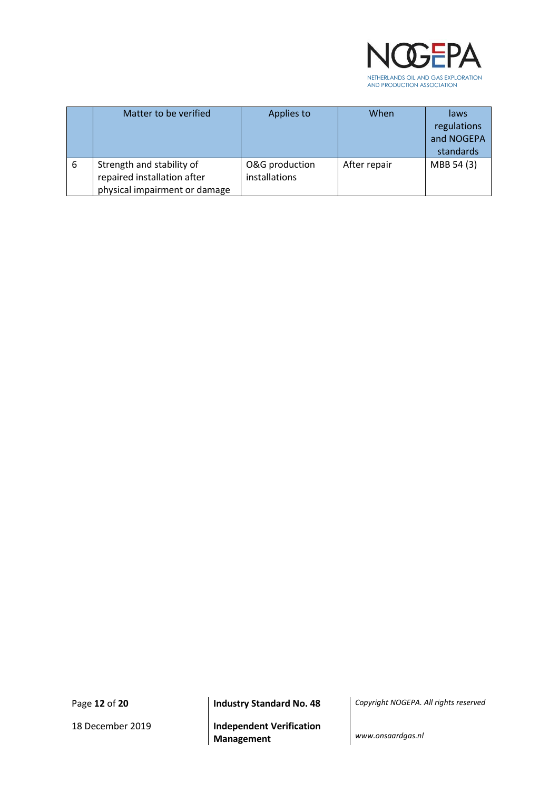

|   | Matter to be verified                                                                     | Applies to                      | When         | laws<br>regulations<br>and NOGEPA<br>standards |
|---|-------------------------------------------------------------------------------------------|---------------------------------|--------------|------------------------------------------------|
| 6 | Strength and stability of<br>repaired installation after<br>physical impairment or damage | O&G production<br>installations | After repair | MBB 54 (3)                                     |

18 December 2019 **Independent Verification Management** *www.onsaardgas.nl*

Page **12** of **20 Industry Standard No. 48** *Copyright NOGEPA. All rights reserved*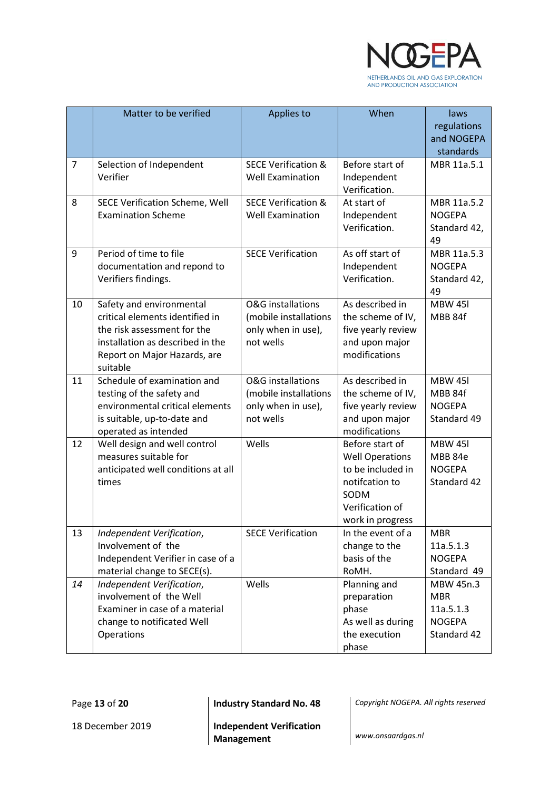

|                | Matter to be verified                           | Applies to                     | When                               | laws                    |
|----------------|-------------------------------------------------|--------------------------------|------------------------------------|-------------------------|
|                |                                                 |                                |                                    | regulations             |
|                |                                                 |                                |                                    | and NOGEPA              |
|                |                                                 |                                |                                    | standards               |
| $\overline{7}$ | Selection of Independent                        | <b>SECE Verification &amp;</b> | Before start of                    | MBR 11a.5.1             |
|                | Verifier                                        | <b>Well Examination</b>        | Independent                        |                         |
|                |                                                 |                                | Verification.                      |                         |
| 8              | SECE Verification Scheme, Well                  | <b>SECE Verification &amp;</b> | At start of                        | MBR 11a.5.2             |
|                | <b>Examination Scheme</b>                       | <b>Well Examination</b>        | Independent                        | <b>NOGEPA</b>           |
|                |                                                 |                                | Verification.                      | Standard 42,            |
|                |                                                 |                                |                                    | 49                      |
| 9              | Period of time to file                          | <b>SECE Verification</b>       | As off start of                    | MBR 11a.5.3             |
|                | documentation and repond to                     |                                | Independent                        | <b>NOGEPA</b>           |
|                | Verifiers findings.                             |                                | Verification.                      | Standard 42,            |
| 10             | Safety and environmental                        | <b>O&amp;G</b> installations   | As described in                    | 49<br><b>MBW 451</b>    |
|                | critical elements identified in                 | (mobile installations          | the scheme of IV,                  | MBB 84f                 |
|                | the risk assessment for the                     | only when in use),             | five yearly review                 |                         |
|                | installation as described in the                | not wells                      | and upon major                     |                         |
|                | Report on Major Hazards, are                    |                                | modifications                      |                         |
|                | suitable                                        |                                |                                    |                         |
| 11             | Schedule of examination and                     | <b>O&amp;G</b> installations   | As described in                    | <b>MBW 451</b>          |
|                | testing of the safety and                       | (mobile installations          | the scheme of IV,                  | MBB 84f                 |
|                | environmental critical elements                 | only when in use),             | five yearly review                 | <b>NOGEPA</b>           |
|                | is suitable, up-to-date and                     | not wells                      | and upon major                     | Standard 49             |
|                | operated as intended                            |                                | modifications                      |                         |
| 12             | Well design and well control                    | Wells                          | Before start of                    | <b>MBW 451</b>          |
|                | measures suitable for                           |                                | <b>Well Operations</b>             | MBB 84e                 |
|                | anticipated well conditions at all              |                                | to be included in                  | <b>NOGEPA</b>           |
|                | times                                           |                                | notifcation to                     | Standard 42             |
|                |                                                 |                                | SODM                               |                         |
|                |                                                 |                                | Verification of                    |                         |
|                |                                                 |                                | work in progress                   |                         |
| 13             | Independent Verification,<br>Involvement of the | <b>SECE Verification</b>       | In the event of a<br>change to the | <b>MBR</b><br>11a.5.1.3 |
|                | Independent Verifier in case of a               |                                | basis of the                       | <b>NOGEPA</b>           |
|                | material change to SECE(s).                     |                                | RoMH.                              | Standard 49             |
| 14             | Independent Verification,                       | Wells                          | Planning and                       | MBW 45n.3               |
|                | involvement of the Well                         |                                | preparation                        | <b>MBR</b>              |
|                | Examiner in case of a material                  |                                | phase                              | 11a.5.1.3               |
|                | change to notificated Well                      |                                | As well as during                  | <b>NOGEPA</b>           |
|                | Operations                                      |                                | the execution                      | Standard 42             |
|                |                                                 |                                | phase                              |                         |

Page **13** of **20 Industry Standard No. 48** *Copyright NOGEPA. All rights reserved*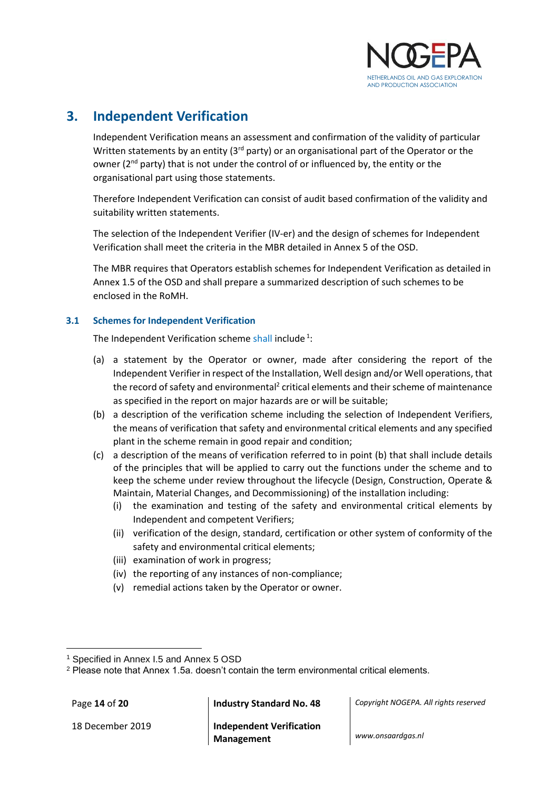

## <span id="page-13-0"></span>**3. Independent Verification**

Independent Verification means an assessment and confirmation of the validity of particular Written statements by an entity ( $3<sup>rd</sup>$  party) or an organisational part of the Operator or the owner (2<sup>nd</sup> party) that is not under the control of or influenced by, the entity or the organisational part using those statements.

Therefore Independent Verification can consist of audit based confirmation of the validity and suitability written statements.

The selection of the Independent Verifier (IV-er) and the design of schemes for Independent Verification shall meet the criteria in the MBR detailed in Annex 5 of the OSD.

The MBR requires that Operators establish schemes for Independent Verification as detailed in Annex 1.5 of the OSD and shall prepare a summarized description of such schemes to be enclosed in the RoMH.

#### <span id="page-13-1"></span>**3.1 Schemes for Independent Verification**

The Independent Verification scheme shall include<sup>1</sup>:

- (a) a statement by the Operator or owner, made after considering the report of the Independent Verifier in respect of the Installation, Well design and/or Well operations, that the record of safety and environmental<sup>2</sup> critical elements and their scheme of maintenance as specified in the report on major hazards are or will be suitable;
- (b) a description of the verification scheme including the selection of Independent Verifiers, the means of verification that safety and environmental critical elements and any specified plant in the scheme remain in good repair and condition;
- (c) a description of the means of verification referred to in point (b) that shall include details of the principles that will be applied to carry out the functions under the scheme and to keep the scheme under review throughout the lifecycle (Design, Construction, Operate & Maintain, Material Changes, and Decommissioning) of the installation including:
	- (i) the examination and testing of the safety and environmental critical elements by Independent and competent Verifiers;
	- (ii) verification of the design, standard, certification or other system of conformity of the safety and environmental critical elements;
	- (iii) examination of work in progress;
	- (iv) the reporting of any instances of non-compliance;
	- (v) remedial actions taken by the Operator or owner.

 $\overline{\phantom{a}}$ 

Page **14** of **20 Industry Standard No. 48** *Copyright NOGEPA. All rights reserved*

<sup>1</sup> Specified in Annex I.5 and Annex 5 OSD

<sup>&</sup>lt;sup>2</sup> Please note that Annex 1.5a. doesn't contain the term environmental critical elements.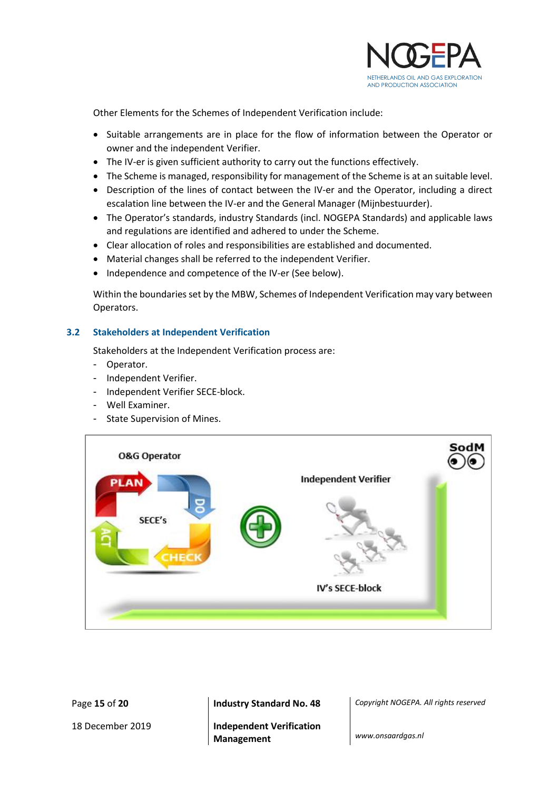

Other Elements for the Schemes of Independent Verification include:

- Suitable arrangements are in place for the flow of information between the Operator or owner and the independent Verifier.
- The IV-er is given sufficient authority to carry out the functions effectively.
- The Scheme is managed, responsibility for management of the Scheme is at an suitable level.
- Description of the lines of contact between the IV-er and the Operator, including a direct escalation line between the IV-er and the General Manager (Mijnbestuurder).
- The Operator's standards, industry Standards (incl. NOGEPA Standards) and applicable laws and regulations are identified and adhered to under the Scheme.
- Clear allocation of roles and responsibilities are established and documented.
- Material changes shall be referred to the independent Verifier.
- Independence and competence of the IV-er (See below).

Within the boundaries set by the MBW, Schemes of Independent Verification may vary between Operators.

#### <span id="page-14-0"></span>**3.2 Stakeholders at Independent Verification**

Stakeholders at the Independent Verification process are:

- Operator.
- Independent Verifier.
- Independent Verifier SECE-block.
- Well Examiner.
- State Supervision of Mines.



18 December 2019 **Independent Verification Management** *www.onsaardgas.nl*

Page **15** of **20 Industry Standard No. 48** *Copyright NOGEPA. All rights reserved*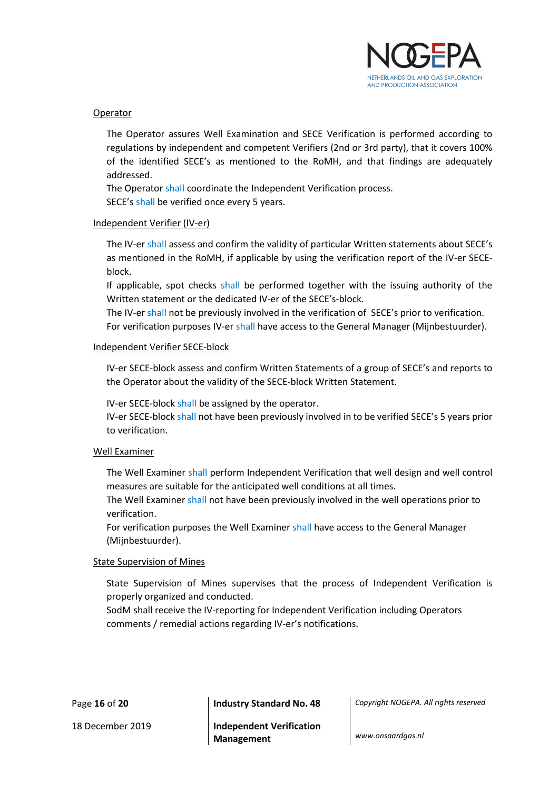

#### Operator

The Operator assures Well Examination and SECE Verification is performed according to regulations by independent and competent Verifiers (2nd or 3rd party), that it covers 100% of the identified SECE's as mentioned to the RoMH, and that findings are adequately addressed.

The Operator shall coordinate the Independent Verification process.

SECE's shall be verified once every 5 years.

#### Independent Verifier (IV-er)

The IV-er shall assess and confirm the validity of particular Written statements about SECE's as mentioned in the RoMH, if applicable by using the verification report of the IV-er SECEblock.

If applicable, spot checks shall be performed together with the issuing authority of the Written statement or the dedicated IV-er of the SECE's-block.

The IV-er shall not be previously involved in the verification of SECE's prior to verification. For verification purposes IV-er shall have access to the General Manager (Mijnbestuurder).

#### Independent Verifier SECE-block

IV-er SECE-block assess and confirm Written Statements of a group of SECE's and reports to the Operator about the validity of the SECE-block Written Statement.

IV-er SECE-block shall be assigned by the operator.

IV-er SECE-block shall not have been previously involved in to be verified SECE's 5 years prior to verification.

#### Well Examiner

The Well Examiner shall perform Independent Verification that well design and well control measures are suitable for the anticipated well conditions at all times.

The Well Examiner shall not have been previously involved in the well operations prior to verification.

For verification purposes the Well Examiner shall have access to the General Manager (Mijnbestuurder).

#### State Supervision of Mines

State Supervision of Mines supervises that the process of Independent Verification is properly organized and conducted.

SodM shall receive the IV-reporting for Independent Verification including Operators comments / remedial actions regarding IV-er's notifications.

Page **16** of **20 Industry Standard No. 48** *Copyright NOGEPA. All rights reserved*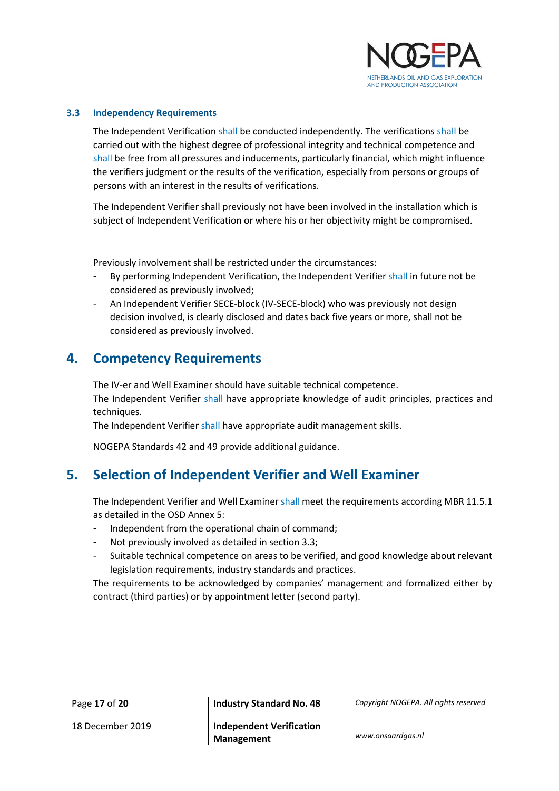

#### <span id="page-16-0"></span>**3.3 Independency Requirements**

The Independent Verification shall be conducted independently. The verifications shall be carried out with the highest degree of professional integrity and technical competence and shall be free from all pressures and inducements, particularly financial, which might influence the verifiers judgment or the results of the verification, especially from persons or groups of persons with an interest in the results of verifications.

The Independent Verifier shall previously not have been involved in the installation which is subject of Independent Verification or where his or her objectivity might be compromised.

Previously involvement shall be restricted under the circumstances:

- By performing Independent Verification, the Independent Verifier shall in future not be considered as previously involved;
- <span id="page-16-1"></span>- An Independent Verifier SECE-block (IV-SECE-block) who was previously not design decision involved, is clearly disclosed and dates back five years or more, shall not be considered as previously involved.

#### **4. Competency Requirements**

The IV-er and Well Examiner should have suitable technical competence.

The Independent Verifier shall have appropriate knowledge of audit principles, practices and techniques.

The Independent Verifier shall have appropriate audit management skills.

NOGEPA Standards 42 and 49 provide additional guidance.

### <span id="page-16-2"></span>**5. Selection of Independent Verifier and Well Examiner**

The Independent Verifier and Well Examiner shall meet the requirements according MBR 11.5.1 as detailed in the OSD Annex 5:

- Independent from the operational chain of command;
- Not previously involved as detailed in section 3.3;
- Suitable technical competence on areas to be verified, and good knowledge about relevant legislation requirements, industry standards and practices.

The requirements to be acknowledged by companies' management and formalized either by contract (third parties) or by appointment letter (second party).

Page **17** of **20 Industry Standard No. 48** *Copyright NOGEPA. All rights reserved*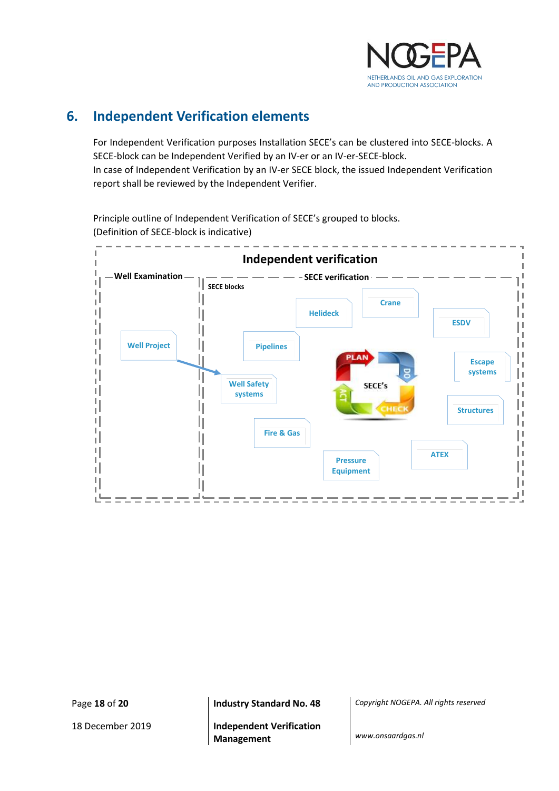

## <span id="page-17-0"></span>**6. Independent Verification elements**

For Independent Verification purposes Installation SECE's can be clustered into SECE-blocks. A SECE-block can be Independent Verified by an IV-er or an IV-er-SECE-block. In case of Independent Verification by an IV-er SECE block, the issued Independent Verification report shall be reviewed by the Independent Verifier.

Principle outline of Independent Verification of SECE's grouped to blocks. (Definition of SECE-block is indicative)



Page **18** of **20 Industry Standard No. 48** *Copyright NOGEPA. All rights reserved*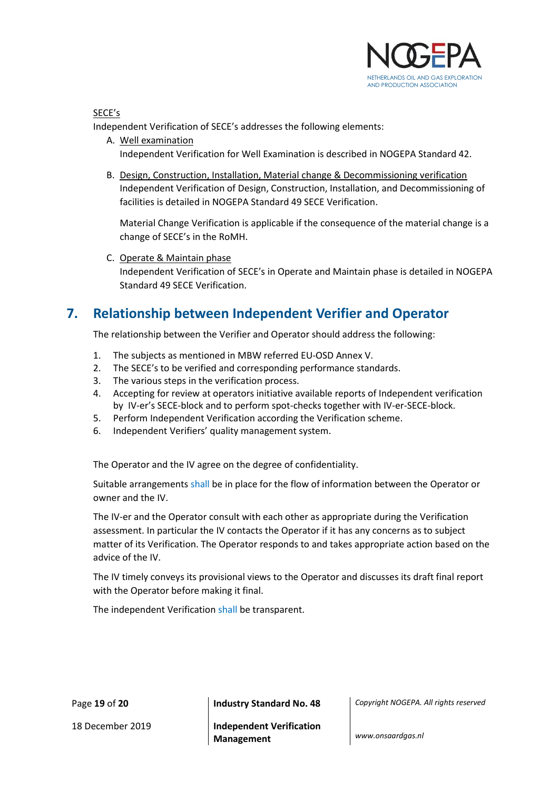

SECE's

Independent Verification of SECE's addresses the following elements:

- A. Well examination Independent Verification for Well Examination is described in NOGEPA Standard 42.
- B. Design, Construction, Installation, Material change & Decommissioning verification Independent Verification of Design, Construction, Installation, and Decommissioning of facilities is detailed in NOGEPA Standard 49 SECE Verification.

Material Change Verification is applicable if the consequence of the material change is a change of SECE's in the RoMH.

C. Operate & Maintain phase Independent Verification of SECE's in Operate and Maintain phase is detailed in NOGEPA Standard 49 SECE Verification.

### <span id="page-18-0"></span>**7. Relationship between Independent Verifier and Operator**

The relationship between the Verifier and Operator should address the following:

- 1. The subjects as mentioned in MBW referred EU-OSD Annex V.
- 2. The SECE's to be verified and corresponding performance standards.
- 3. The various steps in the verification process.
- 4. Accepting for review at operators initiative available reports of Independent verification by IV-er's SECE-block and to perform spot-checks together with IV-er-SECE-block.
- 5. Perform Independent Verification according the Verification scheme.
- 6. Independent Verifiers' quality management system.

The Operator and the IV agree on the degree of confidentiality.

Suitable arrangements shall be in place for the flow of information between the Operator or owner and the IV.

The IV-er and the Operator consult with each other as appropriate during the Verification assessment. In particular the IV contacts the Operator if it has any concerns as to subject matter of its Verification. The Operator responds to and takes appropriate action based on the advice of the IV.

The IV timely conveys its provisional views to the Operator and discusses its draft final report with the Operator before making it final.

The independent Verification shall be transparent.

Page **19** of **20 Industry Standard No. 48** *Copyright NOGEPA. All rights reserved*